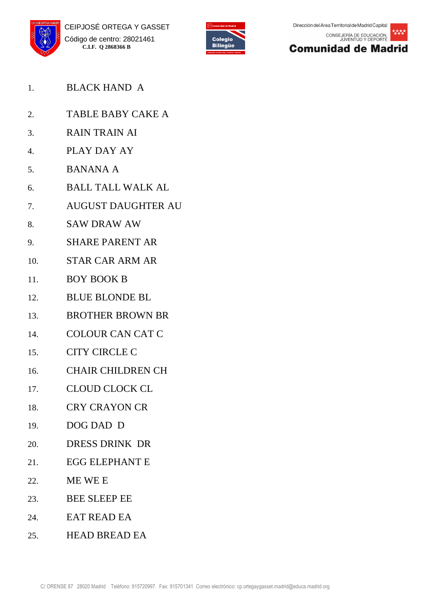







- 1. BLACK HAND A
- 2. TABLE BABY CAKE A
- 3. RAIN TRAIN AI
- 4. PLAY DAY AY
- 5. BANANA A
- 6. BALL TALL WALK AL
- 7. AUGUST DAUGHTER AU
- 8. SAW DRAW AW
- 9. SHARE PARENT AR
- 10. STAR CAR ARM AR
- 11. BOY BOOK B
- 12. BLUE BLONDE BL
- 13. BROTHER BROWN BR
- 14. COLOUR CAN CAT C
- 15. CITY CIRCLE C
- 16. CHAIR CHILDREN CH
- 17. CLOUD CLOCK CL
- 18. CRY CRAYON CR
- 19. DOG DAD D
- 20. DRESS DRINK DR
- 21. EGG ELEPHANT E
- 22. ME WE E
- 23. BEE SLEEP EE
- 24. EAT READ EA
- 25. HEAD BREAD EA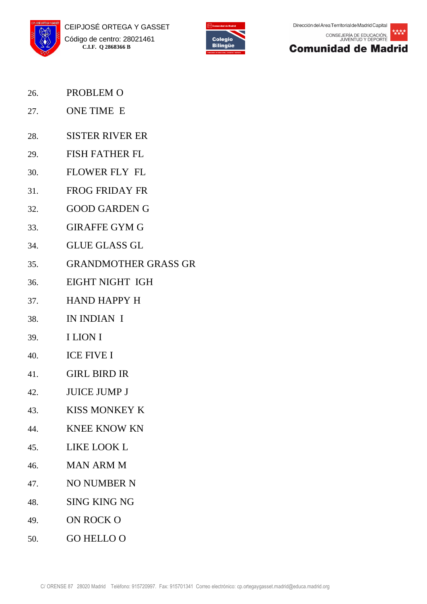





- 26. PROBLEM O
- 27. ONE TIME E
- 28. SISTER RIVER ER
- 29. FISH FATHER FL
- 30. FLOWER FLY FL
- 31. FROG FRIDAY FR
- 32. GOOD GARDEN G
- 33. GIRAFFE GYM G
- 34. GLUE GLASS GL
- 35. GRANDMOTHER GRASS GR
- 36. EIGHT NIGHT IGH
- 37. HAND HAPPY H
- 38. IN INDIAN I
- 39. I LION I
- 40. ICE FIVE I
- 41. GIRL BIRD IR
- 42. JUICE JUMP J
- 43. KISS MONKEY K
- 44. KNEE KNOW KN
- 45. LIKE LOOK L
- 46. MAN ARM M
- 47. NO NUMBER N
- 48. SING KING NG
- 49. ON ROCK O
- 50. GO HELLO O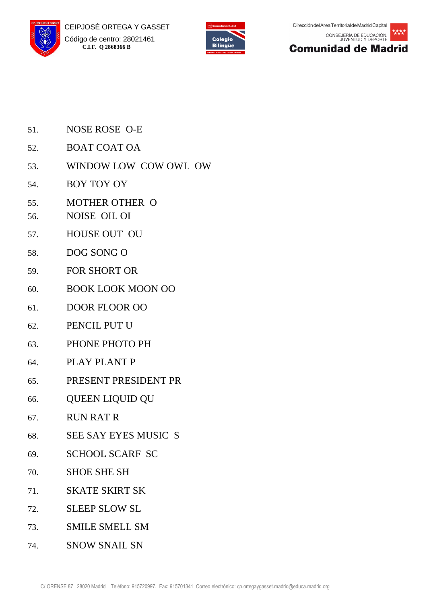





- 51. NOSE ROSE O-E
- 52. BOAT COAT OA
- 53. WINDOW LOW COW OWL OW
- 54. BOY TOY OY
- 55. MOTHER OTHER O
- 56. NOISE OIL OI
- 57. HOUSE OUT OU
- 58. DOG SONG O
- 59. FOR SHORT OR
- 60. BOOK LOOK MOON OO
- 61. DOOR FLOOR OO
- 62. PENCIL PUT U
- 63. PHONE PHOTO PH
- 64. PLAY PLANT P
- 65. PRESENT PRESIDENT PR
- 66. QUEEN LIQUID QU
- 67. RUN RAT R
- 68. SEE SAY EYES MUSIC S
- 69. SCHOOL SCARF SC
- 70. SHOE SHE SH
- 71. SKATE SKIRT SK
- 72. SLEEP SLOW SL
- 73. SMILE SMELL SM
- 74. SNOW SNAIL SN